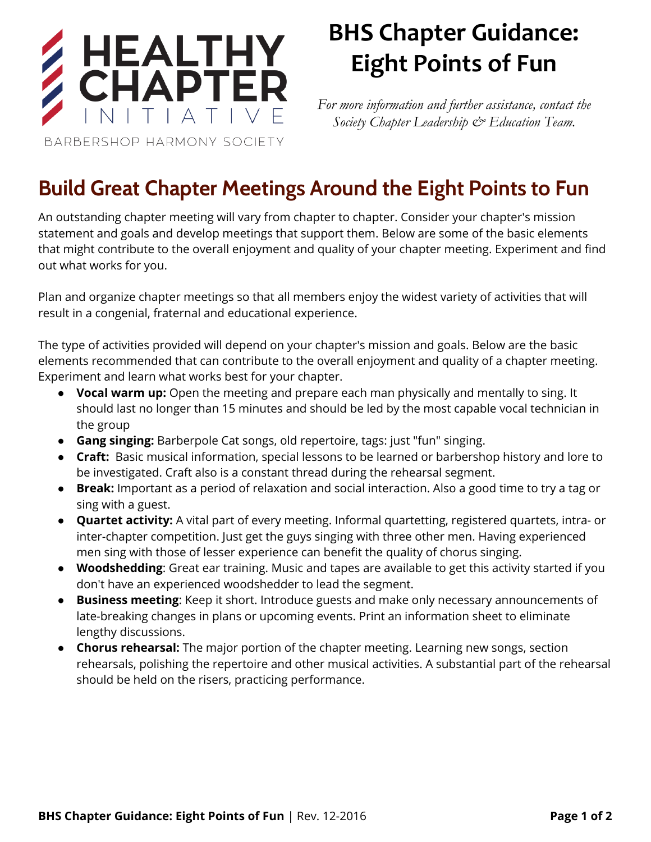

## BHS Chapter Guidance: Eight Points of Fun

*For more information and further assistance, contact the Society Chapter Leadership & Education Team.*

Build Great Chapter Meetings Around the Eight Points to Fun

An outstanding chapter meeting will vary from chapter to chapter. Consider your chapter's mission statement and goals and develop meetings that support them. Below are some of the basic elements that might contribute to the overall enjoyment and quality of your chapter meeting. Experiment and find out what works for you.

Plan and organize chapter meetings so that all members enjoy the widest variety of activities that will result in a congenial, fraternal and educational experience.

The type of activities provided will depend on your chapter's mission and goals. Below are the basic elements recommended that can contribute to the overall enjoyment and quality of a chapter meeting. Experiment and learn what works best for your chapter.

- Vocal warm up: Open the meeting and prepare each man physically and mentally to sing. It should last no longer than 15 minutes and should be led by the most capable vocal technician in the group
- **Gang singing:** Barberpole Cat songs, old repertoire, tags: just "fun" singing.
- Craft: Basic musical information, special lessons to be learned or barbershop history and lore to be investigated. Craft also is a constant thread during the rehearsal segment.
- Break: Important as a period of relaxation and social interaction. Also a good time to try a tag or sing with a guest.
- Quartet activity: A vital part of every meeting. Informal quartetting, registered quartets, intra- or inter-chapter competition. Just get the guys singing with three other men. Having experienced men sing with those of lesser experience can benefit the quality of chorus singing.
- Woodshedding: Great ear training. Music and tapes are available to get this activity started if you don't have an experienced woodshedder to lead the segment.
- Business meeting: Keep it short. Introduce guests and make only necessary announcements of late-breaking changes in plans or upcoming events. Print an information sheet to eliminate lengthy discussions.
- **Chorus rehearsal:** The major portion of the chapter meeting. Learning new songs, section rehearsals, polishing the repertoire and other musical activities. A substantial part of the rehearsal should be held on the risers, practicing performance.